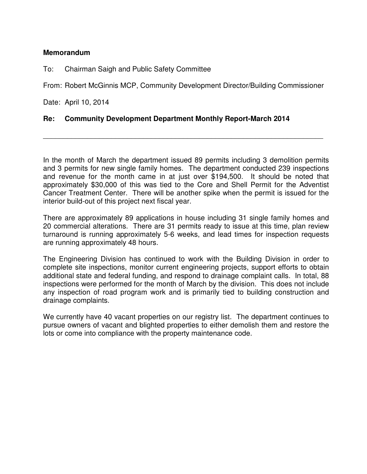## **Memorandum**

To: Chairman Saigh and Public Safety Committee

From: Robert McGinnis MCP, Community Development Director/Building Commissioner

\_\_\_\_\_\_\_\_\_\_\_\_\_\_\_\_\_\_\_\_\_\_\_\_\_\_\_\_\_\_\_\_\_\_\_\_\_\_\_\_\_\_\_\_\_\_\_\_\_\_\_\_\_\_\_\_\_\_\_\_\_\_\_\_\_\_\_\_\_\_

Date: April 10, 2014

## **Re: Community Development Department Monthly Report-March 2014**

In the month of March the department issued 89 permits including 3 demolition permits and 3 permits for new single family homes. The department conducted 239 inspections and revenue for the month came in at just over \$194,500. It should be noted that approximately \$30,000 of this was tied to the Core and Shell Permit for the Adventist Cancer Treatment Center. There will be another spike when the permit is issued for the interior build-out of this project next fiscal year.

There are approximately 89 applications in house including 31 single family homes and 20 commercial alterations. There are 31 permits ready to issue at this time, plan review turnaround is running approximately 5-6 weeks, and lead times for inspection requests are running approximately 48 hours.

The Engineering Division has continued to work with the Building Division in order to complete site inspections, monitor current engineering projects, support efforts to obtain additional state and federal funding, and respond to drainage complaint calls. In total, 88 inspections were performed for the month of March by the division. This does not include any inspection of road program work and is primarily tied to building construction and drainage complaints.

We currently have 40 vacant properties on our registry list. The department continues to pursue owners of vacant and blighted properties to either demolish them and restore the lots or come into compliance with the property maintenance code.